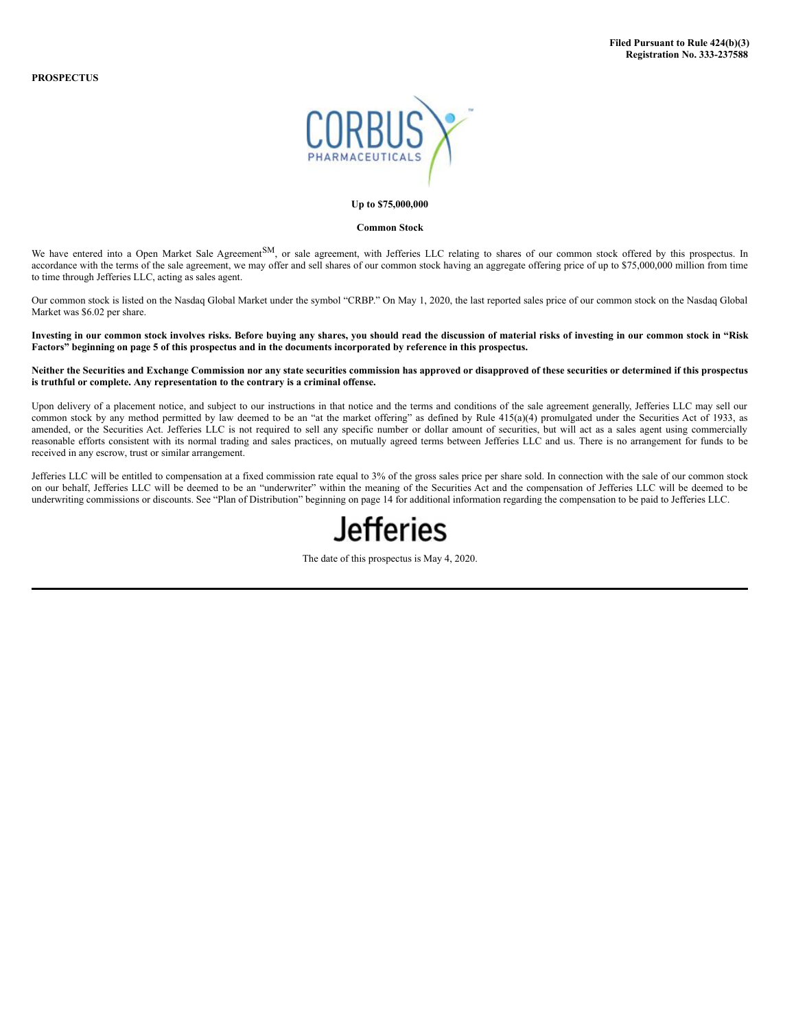

#### **Up to \$75,000,000**

#### **Common Stock**

We have entered into a Open Market Sale Agreement<sup>SM</sup>, or sale agreement, with Jefferies LLC relating to shares of our common stock offered by this prospectus. In accordance with the terms of the sale agreement, we may offer and sell shares of our common stock having an aggregate offering price of up to \$75,000,000 million from time to time through Jefferies LLC, acting as sales agent.

Our common stock is listed on the Nasdaq Global Market under the symbol "CRBP." On May 1, 2020, the last reported sales price of our common stock on the Nasdaq Global Market was \$6.02 per share.

Investing in our common stock involves risks. Before buying any shares, you should read the discussion of material risks of investing in our common stock in "Risk Factors" beginning on page 5 of this prospectus and in the documents incorporated by reference in this prospectus.

## Neither the Securities and Exchange Commission nor any state securities commission has approved or disapproved of these securities or determined if this prospectus **is truthful or complete. Any representation to the contrary is a criminal offense.**

Upon delivery of a placement notice, and subject to our instructions in that notice and the terms and conditions of the sale agreement generally, Jefferies LLC may sell our common stock by any method permitted by law deemed to be an "at the market offering" as defined by Rule 415(a)(4) promulgated under the Securities Act of 1933, as amended, or the Securities Act. Jefferies LLC is not required to sell any specific number or dollar amount of securities, but will act as a sales agent using commercially reasonable efforts consistent with its normal trading and sales practices, on mutually agreed terms between Jefferies LLC and us. There is no arrangement for funds to be received in any escrow, trust or similar arrangement.

Jefferies LLC will be entitled to compensation at a fixed commission rate equal to 3% of the gross sales price per share sold. In connection with the sale of our common stock on our behalf, Jefferies LLC will be deemed to be an "underwriter" within the meaning of the Securities Act and the compensation of Jefferies LLC will be deemed to be underwriting commissions or discounts. See "Plan of Distribution" beginning on page 14 for additional information regarding the compensation to be paid to Jefferies LLC.



The date of this prospectus is May 4, 2020.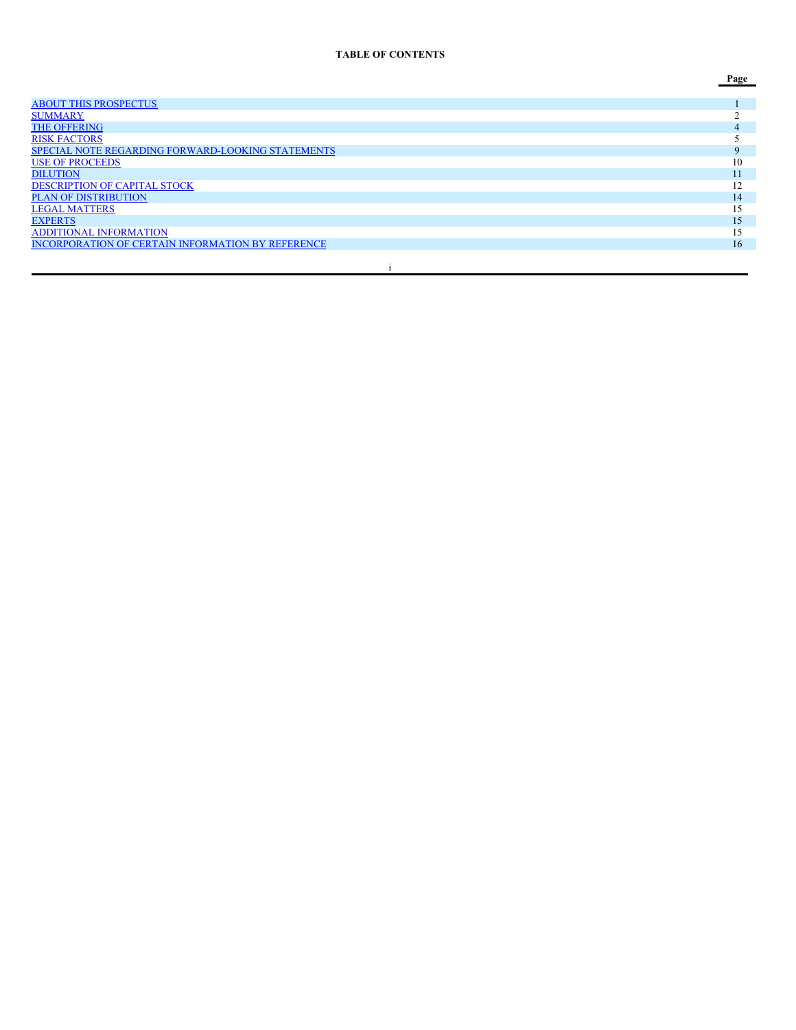# **TABLE OF CONTENTS**

**Page**

| <b>ABOUT THIS PROSPECTUS</b>                             |    |
|----------------------------------------------------------|----|
| <b>SUMMARY</b>                                           |    |
| <b>THE OFFERING</b>                                      |    |
| <b>RISK FACTORS</b>                                      |    |
| <b>SPECIAL NOTE REGARDING FORWARD-LOOKING STATEMENTS</b> |    |
| <b>USE OF PROCEEDS</b>                                   | 10 |
| <b>DILUTION</b>                                          |    |
| <b>DESCRIPTION OF CAPITAL STOCK</b>                      | 12 |
| <b>PLAN OF DISTRIBUTION</b>                              | 14 |
| <b>LEGAL MATTERS</b>                                     | 15 |
| <b>EXPERTS</b>                                           | 15 |
| <b>ADDITIONAL INFORMATION</b>                            | 15 |
| <b>INCORPORATION OF CERTAIN INFORMATION BY REFERENCE</b> | 16 |
|                                                          |    |
|                                                          |    |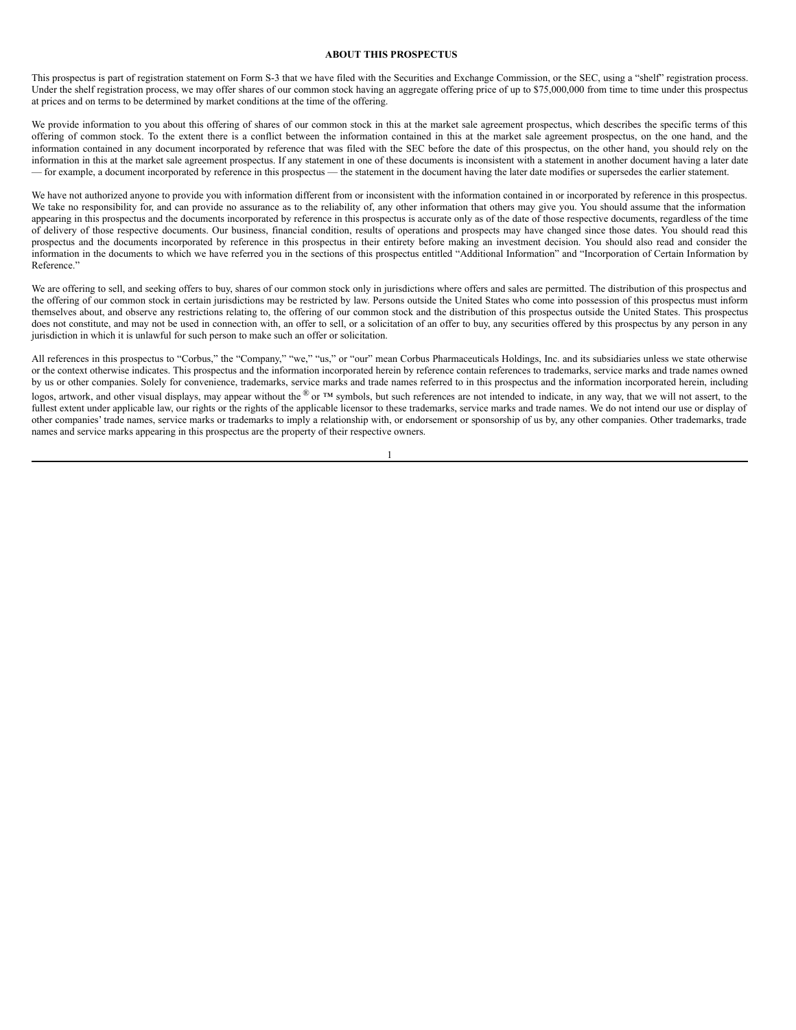#### <span id="page-2-0"></span>**ABOUT THIS PROSPECTUS**

This prospectus is part of registration statement on Form S-3 that we have filed with the Securities and Exchange Commission, or the SEC, using a "shelf" registration process. Under the shelf registration process, we may offer shares of our common stock having an aggregate offering price of up to \$75,000,000 from time to time under this prospectus at prices and on terms to be determined by market conditions at the time of the offering.

We provide information to you about this offering of shares of our common stock in this at the market sale agreement prospectus, which describes the specific terms of this offering of common stock. To the extent there is a conflict between the information contained in this at the market sale agreement prospectus, on the one hand, and the information contained in any document incorporated by reference that was filed with the SEC before the date of this prospectus, on the other hand, you should rely on the information in this at the market sale agreement prospectus. If any statement in one of these documents is inconsistent with a statement in another document having a later date — for example, a document incorporated by reference in this prospectus — the statement in the document having the later date modifies or supersedes the earlier statement.

We have not authorized anyone to provide you with information different from or inconsistent with the information contained in or incorporated by reference in this prospectus. We take no responsibility for, and can provide no assurance as to the reliability of, any other information that others may give you. You should assume that the information appearing in this prospectus and the documents incorporated by reference in this prospectus is accurate only as of the date of those respective documents, regardless of the time of delivery of those respective documents. Our business, financial condition, results of operations and prospects may have changed since those dates. You should read this prospectus and the documents incorporated by reference in this prospectus in their entirety before making an investment decision. You should also read and consider the information in the documents to which we have referred you in the sections of this prospectus entitled "Additional Information" and "Incorporation of Certain Information by Reference."

We are offering to sell, and seeking offers to buy, shares of our common stock only in jurisdictions where offers and sales are permitted. The distribution of this prospectus and the offering of our common stock in certain jurisdictions may be restricted by law. Persons outside the United States who come into possession of this prospectus must inform themselves about, and observe any restrictions relating to, the offering of our common stock and the distribution of this prospectus outside the United States. This prospectus does not constitute, and may not be used in connection with, an offer to sell, or a solicitation of an offer to buy, any securities offered by this prospectus by any person in any jurisdiction in which it is unlawful for such person to make such an offer or solicitation.

All references in this prospectus to "Corbus," the "Company," "we," "us," or "our" mean Corbus Pharmaceuticals Holdings, Inc. and its subsidiaries unless we state otherwise or the context otherwise indicates. This prospectus and the information incorporated herein by reference contain references to trademarks, service marks and trade names owned by us or other companies. Solely for convenience, trademarks, service marks and trade names referred to in this prospectus and the information incorporated herein, including logos, artwork, and other visual displays, may appear without the  $\mathcal{L}_{\text{DT}}$  m symbols, but such references are not intended to indicate, in any way, that we will not assert, to the fullest extent under applicable law, our rights or the rights of the applicable licensor to these trademarks, service marks and trade names. We do not intend our use or display of other companies' trade names, service marks or trademarks to imply a relationship with, or endorsement or sponsorship of us by, any other companies. Other trademarks, trade names and service marks appearing in this prospectus are the property of their respective owners.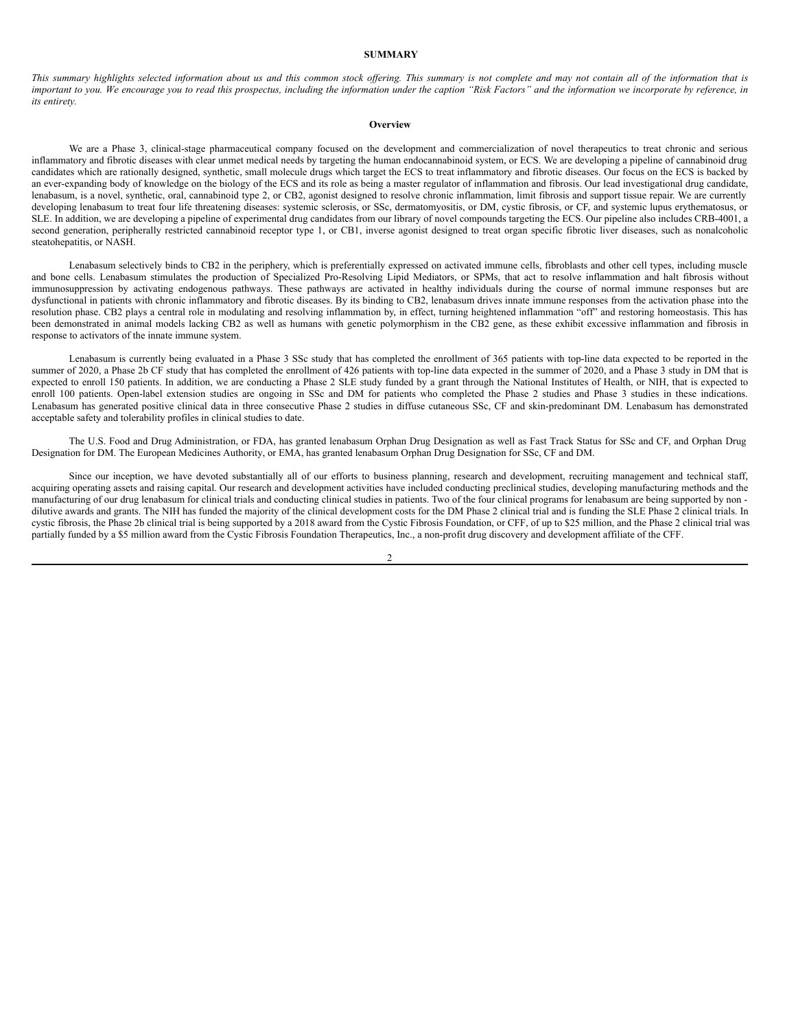## <span id="page-3-0"></span>**SUMMARY**

This summary highlights selected information about us and this common stock offering. This summary is not complete and may not contain all of the information that is important to you. We encourage you to read this prospectus, including the information under the caption "Risk Factors" and the information we incorporate by reference, in *its entirety.*

#### **Overview**

We are a Phase 3, clinical-stage pharmaceutical company focused on the development and commercialization of novel therapeutics to treat chronic and serious inflammatory and fibrotic diseases with clear unmet medical needs by targeting the human endocannabinoid system, or ECS. We are developing a pipeline of cannabinoid drug candidates which are rationally designed, synthetic, small molecule drugs which target the ECS to treat inflammatory and fibrotic diseases. Our focus on the ECS is backed by an ever-expanding body of knowledge on the biology of the ECS and its role as being a master regulator of inflammation and fibrosis. Our lead investigational drug candidate, lenabasum, is a novel, synthetic, oral, cannabinoid type 2, or CB2, agonist designed to resolve chronic inflammation, limit fibrosis and support tissue repair. We are currently developing lenabasum to treat four life threatening diseases: systemic sclerosis, or SSc, dermatomyositis, or DM, cystic fibrosis, or CF, and systemic lupus erythematosus, or SLE. In addition, we are developing a pipeline of experimental drug candidates from our library of novel compounds targeting the ECS. Our pipeline also includes CRB-4001, a second generation, peripherally restricted cannabinoid receptor type 1, or CB1, inverse agonist designed to treat organ specific fibrotic liver diseases, such as nonalcoholic steatohepatitis, or NASH.

Lenabasum selectively binds to CB2 in the periphery, which is preferentially expressed on activated immune cells, fibroblasts and other cell types, including muscle and bone cells. Lenabasum stimulates the production of Specialized Pro-Resolving Lipid Mediators, or SPMs, that act to resolve inflammation and halt fibrosis without immunosuppression by activating endogenous pathways. These pathways are activated in healthy individuals during the course of normal immune responses but are dysfunctional in patients with chronic inflammatory and fibrotic diseases. By its binding to CB2, lenabasum drives innate immune responses from the activation phase into the resolution phase. CB2 plays a central role in modulating and resolving inflammation by, in effect, turning heightened inflammation "off" and restoring homeostasis. This has been demonstrated in animal models lacking CB2 as well as humans with genetic polymorphism in the CB2 gene, as these exhibit excessive inflammation and fibrosis in response to activators of the innate immune system.

Lenabasum is currently being evaluated in a Phase 3 SSc study that has completed the enrollment of 365 patients with top-line data expected to be reported in the summer of 2020, a Phase 2b CF study that has completed the enrollment of 426 patients with top-line data expected in the summer of 2020, and a Phase 3 study in DM that is expected to enroll 150 patients. In addition, we are conducting a Phase 2 SLE study funded by a grant through the National Institutes of Health, or NIH, that is expected to enroll 100 patients. Open-label extension studies are ongoing in SSc and DM for patients who completed the Phase 2 studies and Phase 3 studies in these indications. Lenabasum has generated positive clinical data in three consecutive Phase 2 studies in diffuse cutaneous SSc, CF and skin-predominant DM. Lenabasum has demonstrated acceptable safety and tolerability profiles in clinical studies to date.

The U.S. Food and Drug Administration, or FDA, has granted lenabasum Orphan Drug Designation as well as Fast Track Status for SSc and CF, and Orphan Drug Designation for DM. The European Medicines Authority, or EMA, has granted lenabasum Orphan Drug Designation for SSc, CF and DM.

Since our inception, we have devoted substantially all of our efforts to business planning, research and development, recruiting management and technical staff, acquiring operating assets and raising capital. Our research and development activities have included conducting preclinical studies, developing manufacturing methods and the manufacturing of our drug lenabasum for clinical trials and conducting clinical studies in patients. Two of the four clinical programs for lenabasum are being supported by non dilutive awards and grants. The NIH has funded the majority of the clinical development costs for the DM Phase 2 clinical trial and is funding the SLE Phase 2 clinical trials. In cystic fibrosis, the Phase 2b clinical trial is being supported by a 2018 award from the Cystic Fibrosis Foundation, or CFF, of up to \$25 million, and the Phase 2 clinical trial was partially funded by a \$5 million award from the Cystic Fibrosis Foundation Therapeutics, Inc., a non-profit drug discovery and development affiliate of the CFF.

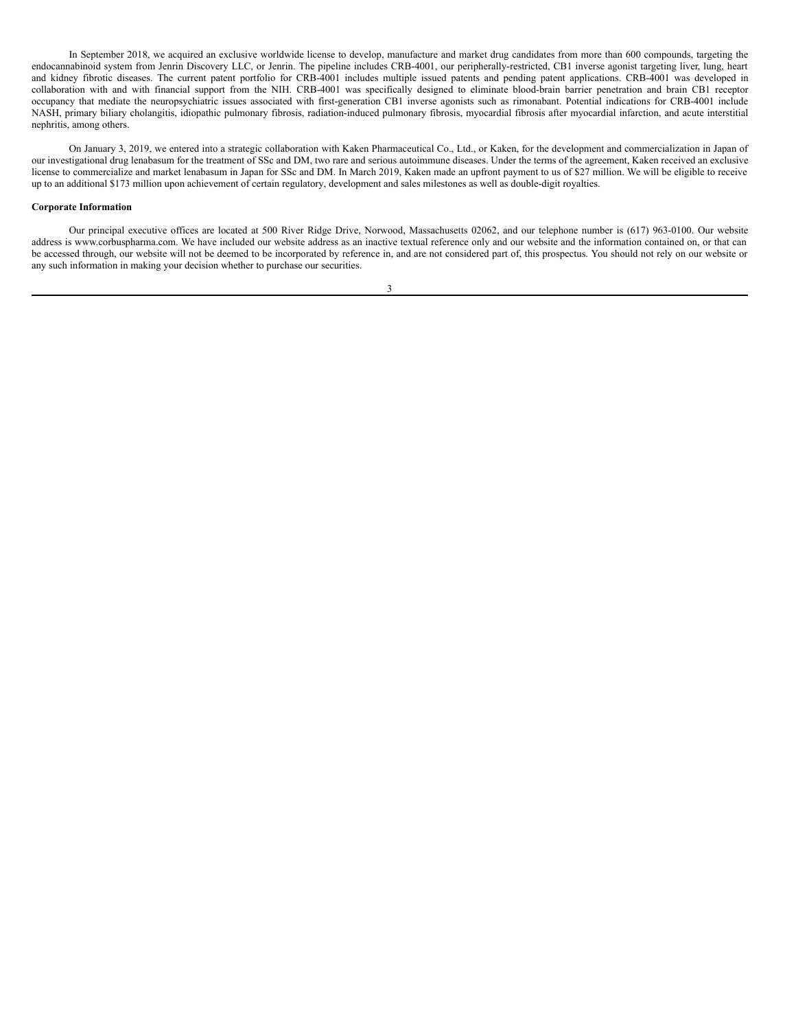In September 2018, we acquired an exclusive worldwide license to develop, manufacture and market drug candidates from more than 600 compounds, targeting the endocannabinoid system from Jenrin Discovery LLC, or Jenrin. The pipeline includes CRB-4001, our peripherally-restricted, CB1 inverse agonist targeting liver, lung, heart and kidney fibrotic diseases. The current patent portfolio for CRB-4001 includes multiple issued patents and pending patent applications. CRB-4001 was developed in collaboration with and with financial support from the NIH. CRB-4001 was specifically designed to eliminate blood-brain barrier penetration and brain CB1 receptor occupancy that mediate the neuropsychiatric issues associated with first-generation CB1 inverse agonists such as rimonabant. Potential indications for CRB-4001 include NASH, primary biliary cholangitis, idiopathic pulmonary fibrosis, radiation-induced pulmonary fibrosis, myocardial fibrosis after myocardial infarction, and acute interstitial nephritis, among others.

On January 3, 2019, we entered into a strategic collaboration with Kaken Pharmaceutical Co., Ltd., or Kaken, for the development and commercialization in Japan of our investigational drug lenabasum for the treatment of SSc and DM, two rare and serious autoimmune diseases. Under the terms of the agreement, Kaken received an exclusive license to commercialize and market lenabasum in Japan for SSc and DM. In March 2019, Kaken made an upfront payment to us of \$27 million. We will be eligible to receive up to an additional \$173 million upon achievement of certain regulatory, development and sales milestones as well as double-digit royalties.

### **Corporate Information**

Our principal executive offices are located at 500 River Ridge Drive, Norwood, Massachusetts 02062, and our telephone number is (617) 963-0100. Our website address is www.corbuspharma.com. We have included our website address as an inactive textual reference only and our website and the information contained on, or that can be accessed through, our website will not be deemed to be incorporated by reference in, and are not considered part of, this prospectus. You should not rely on our website or any such information in making your decision whether to purchase our securities.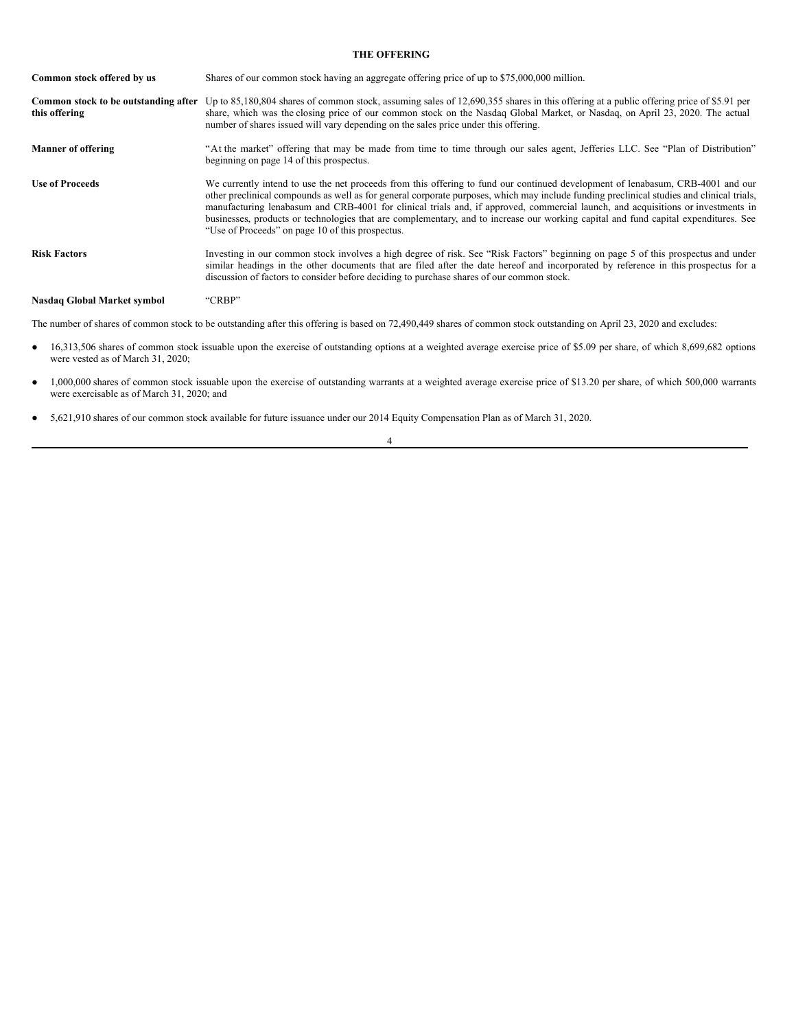## <span id="page-5-0"></span>**THE OFFERING**

| Common stock offered by us                            | Shares of our common stock having an aggregate offering price of up to \$75,000,000 million.                                                                                                                                                                                                                                                                                                                                                                                                                                                                                                                |
|-------------------------------------------------------|-------------------------------------------------------------------------------------------------------------------------------------------------------------------------------------------------------------------------------------------------------------------------------------------------------------------------------------------------------------------------------------------------------------------------------------------------------------------------------------------------------------------------------------------------------------------------------------------------------------|
| Common stock to be outstanding after<br>this offering | Up to 85,180,804 shares of common stock, assuming sales of 12,690,355 shares in this offering at a public offering price of \$5.91 per<br>share, which was the closing price of our common stock on the Nasdaq Global Market, or Nasdaq, on April 23, 2020. The actual<br>number of shares issued will vary depending on the sales price under this offering.                                                                                                                                                                                                                                               |
| <b>Manner of offering</b>                             | "At the market" offering that may be made from time to time through our sales agent, Jefferies LLC. See "Plan of Distribution"<br>beginning on page 14 of this prospectus.                                                                                                                                                                                                                                                                                                                                                                                                                                  |
| <b>Use of Proceeds</b>                                | We currently intend to use the net proceeds from this offering to fund our continued development of lenabasum, CRB-4001 and our<br>other preclinical compounds as well as for general corporate purposes, which may include funding preclinical studies and clinical trials,<br>manufacturing lenabasum and CRB-4001 for clinical trials and, if approved, commercial launch, and acquisitions or investments in<br>businesses, products or technologies that are complementary, and to increase our working capital and fund capital expenditures. See<br>"Use of Proceeds" on page 10 of this prospectus. |
| <b>Risk Factors</b>                                   | Investing in our common stock involves a high degree of risk. See "Risk Factors" beginning on page 5 of this prospectus and under<br>similar headings in the other documents that are filed after the date hereof and incorporated by reference in this prospectus for a<br>discussion of factors to consider before deciding to purchase shares of our common stock.                                                                                                                                                                                                                                       |
| Nasdaq Global Market symbol                           | "CRBP"                                                                                                                                                                                                                                                                                                                                                                                                                                                                                                                                                                                                      |

The number of shares of common stock to be outstanding after this offering is based on 72,490,449 shares of common stock outstanding on April 23, 2020 and excludes:

- 16,313,506 shares of common stock issuable upon the exercise of outstanding options at a weighted average exercise price of \$5.09 per share, of which 8,699,682 options were vested as of March 31, 2020;
- 1,000,000 shares of common stock issuable upon the exercise of outstanding warrants at a weighted average exercise price of \$13.20 per share, of which 500,000 warrants were exercisable as of March 31, 2020; and
- 5,621,910 shares of our common stock available for future issuance under our 2014 Equity Compensation Plan as of March 31, 2020.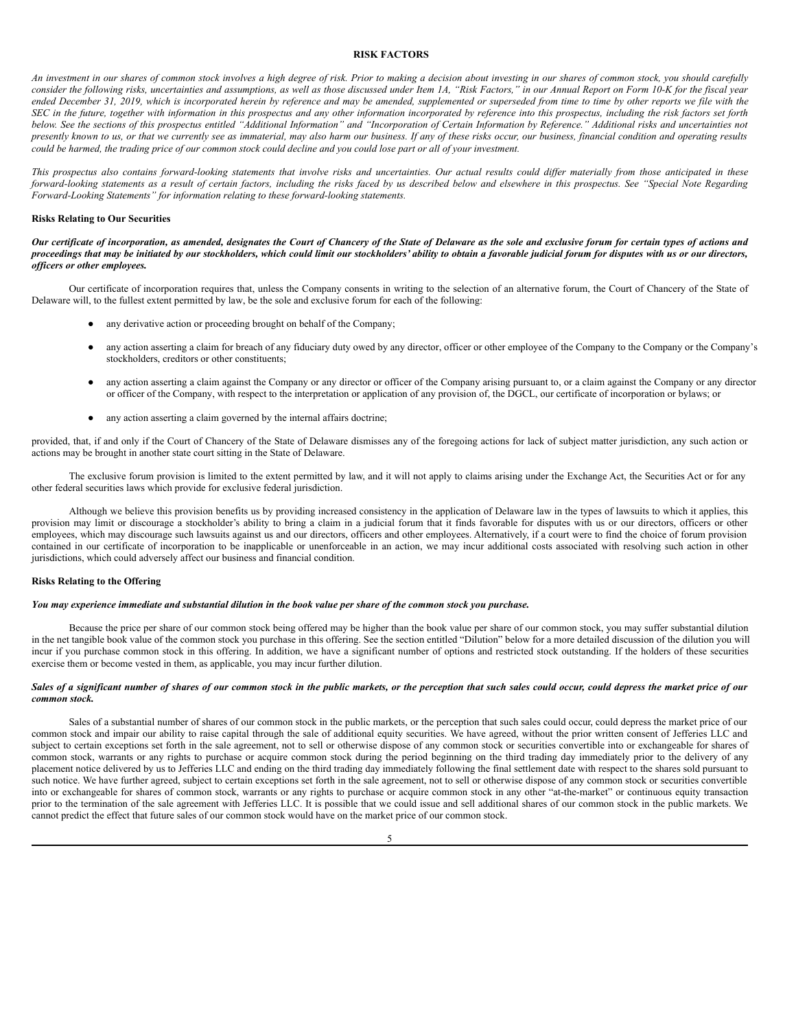#### <span id="page-6-0"></span>**RISK FACTORS**

An investment in our shares of common stock involves a high degree of risk. Prior to making a decision about investing in our shares of common stock, you should carefully consider the following risks, uncertainties and assumptions, as well as those discussed under Item 1A, "Risk Factors," in our Annual Report on Form 10-K for the fiscal year ended December 31, 2019, which is incorporated herein by reference and may be amended, supplemented or superseded from time to time by other reports we file with the SEC in the future, together with information in this prospectus and any other information incorporated by reference into this prospectus, including the risk factors set forth below. See the sections of this prospectus entitled "Additional Information" and "Incorporation of Certain Information by Reference." Additional risks and uncertainties not presently known to us, or that we currently see as immaterial, may also harm our business. If any of these risks occur, our business, financial condition and operating results could be harmed, the trading price of our common stock could decline and you could lose part or all of your investment.

This prospectus also contains forward-looking statements that involve risks and uncertainties. Our actual results could differ materially from those anticipated in these forward-looking statements as a result of certain factors, including the risks faced by us described below and elsewhere in this prospectus. See "Special Note Regarding *Forward-Looking Statements" for information relating to these forward-looking statements.*

#### **Risks Relating to Our Securities**

Our certificate of incorporation, as amended, designates the Court of Chancery of the State of Delaware as the sole and exclusive forum for certain types of actions and proceedings that may be initiated by our stockholders, which could limit our stockholders' ability to obtain a favorable judicial forum for disputes with us or our directors, *of icers or other employees.*

Our certificate of incorporation requires that, unless the Company consents in writing to the selection of an alternative forum, the Court of Chancery of the State of Delaware will, to the fullest extent permitted by law, be the sole and exclusive forum for each of the following:

- any derivative action or proceeding brought on behalf of the Company;
- any action asserting a claim for breach of any fiduciary duty owed by any director, officer or other employee of the Company to the Company or the Company's stockholders, creditors or other constituents;
- any action asserting a claim against the Company or any director or officer of the Company arising pursuant to, or a claim against the Company or any director or officer of the Company, with respect to the interpretation or application of any provision of, the DGCL, our certificate of incorporation or bylaws; or
- any action asserting a claim governed by the internal affairs doctrine;

provided, that, if and only if the Court of Chancery of the State of Delaware dismisses any of the foregoing actions for lack of subject matter jurisdiction, any such action or actions may be brought in another state court sitting in the State of Delaware.

The exclusive forum provision is limited to the extent permitted by law, and it will not apply to claims arising under the Exchange Act, the Securities Act or for any other federal securities laws which provide for exclusive federal jurisdiction.

Although we believe this provision benefits us by providing increased consistency in the application of Delaware law in the types of lawsuits to which it applies, this provision may limit or discourage a stockholder's ability to bring a claim in a judicial forum that it finds favorable for disputes with us or our directors, officers or other employees, which may discourage such lawsuits against us and our directors, officers and other employees. Alternatively, if a court were to find the choice of forum provision contained in our certificate of incorporation to be inapplicable or unenforceable in an action, we may incur additional costs associated with resolving such action in other jurisdictions, which could adversely affect our business and financial condition.

#### **Risks Relating to the Offering**

# You may experience immediate and substantial dilution in the book value per share of the common stock you purchase.

Because the price per share of our common stock being offered may be higher than the book value per share of our common stock, you may suffer substantial dilution in the net tangible book value of the common stock you purchase in this offering. See the section entitled "Dilution" below for a more detailed discussion of the dilution you will incur if you purchase common stock in this offering. In addition, we have a significant number of options and restricted stock outstanding. If the holders of these securities exercise them or become vested in them, as applicable, you may incur further dilution.

## Sales of a significant number of shares of our common stock in the public markets, or the perception that such sales could occur, could depress the market price of our *common stock.*

Sales of a substantial number of shares of our common stock in the public markets, or the perception that such sales could occur, could depress the market price of our common stock and impair our ability to raise capital through the sale of additional equity securities. We have agreed, without the prior written consent of Jefferies LLC and subject to certain exceptions set forth in the sale agreement, not to sell or otherwise dispose of any common stock or securities convertible into or exchangeable for shares of common stock, warrants or any rights to purchase or acquire common stock during the period beginning on the third trading day immediately prior to the delivery of any placement notice delivered by us to Jefferies LLC and ending on the third trading day immediately following the final settlement date with respect to the shares sold pursuant to such notice. We have further agreed, subject to certain exceptions set forth in the sale agreement, not to sell or otherwise dispose of any common stock or securities convertible into or exchangeable for shares of common stock, warrants or any rights to purchase or acquire common stock in any other "at-the-market" or continuous equity transaction prior to the termination of the sale agreement with Jefferies LLC. It is possible that we could issue and sell additional shares of our common stock in the public markets. We cannot predict the effect that future sales of our common stock would have on the market price of our common stock.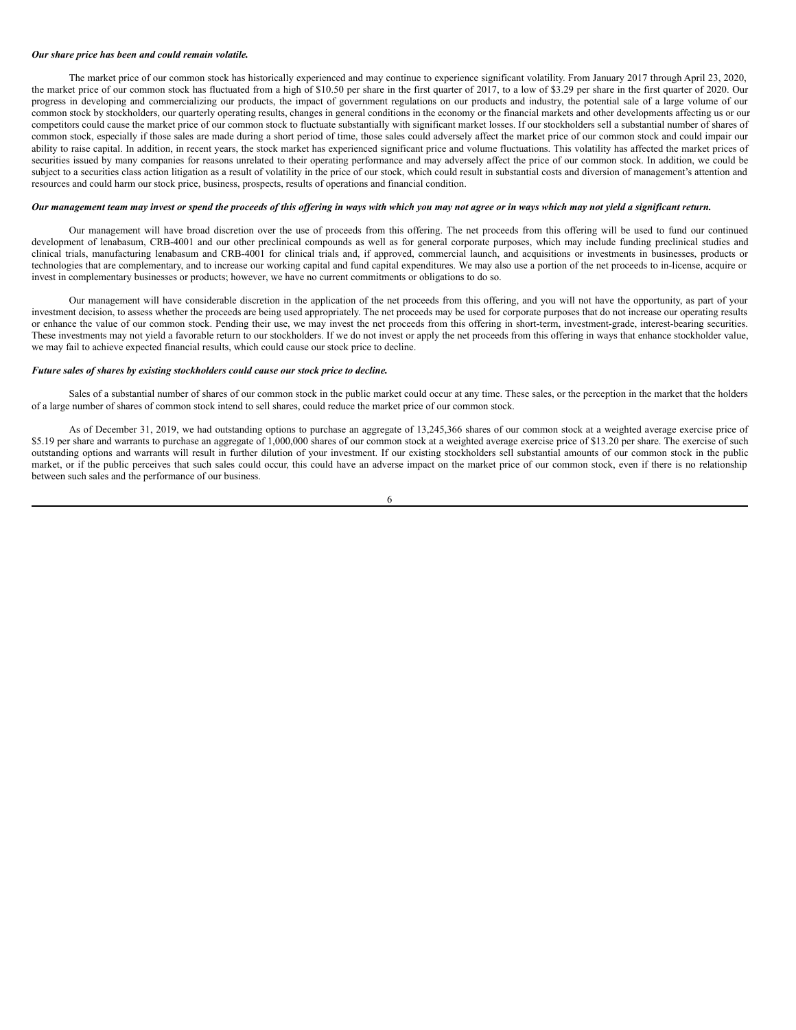#### *Our share price has been and could remain volatile.*

The market price of our common stock has historically experienced and may continue to experience significant volatility. From January 2017 through April 23, 2020, the market price of our common stock has fluctuated from a high of \$10.50 per share in the first quarter of 2017, to a low of \$3.29 per share in the first quarter of 2020. Our progress in developing and commercializing our products, the impact of government regulations on our products and industry, the potential sale of a large volume of our common stock by stockholders, our quarterly operating results, changes in general conditions in the economy or the financial markets and other developments affecting us or our competitors could cause the market price of our common stock to fluctuate substantially with significant market losses. If our stockholders sell a substantial number of shares of common stock, especially if those sales are made during a short period of time, those sales could adversely affect the market price of our common stock and could impair our ability to raise capital. In addition, in recent years, the stock market has experienced significant price and volume fluctuations. This volatility has affected the market prices of securities issued by many companies for reasons unrelated to their operating performance and may adversely affect the price of our common stock. In addition, we could be subject to a securities class action litigation as a result of volatility in the price of our stock, which could result in substantial costs and diversion of management's attention and resources and could harm our stock price, business, prospects, results of operations and financial condition.

## Our management team may invest or spend the proceeds of this offering in ways with which you may not agree or in ways which may not yield a significant return.

Our management will have broad discretion over the use of proceeds from this offering. The net proceeds from this offering will be used to fund our continued development of lenabasum, CRB-4001 and our other preclinical compounds as well as for general corporate purposes, which may include funding preclinical studies and clinical trials, manufacturing lenabasum and CRB-4001 for clinical trials and, if approved, commercial launch, and acquisitions or investments in businesses, products or technologies that are complementary, and to increase our working capital and fund capital expenditures. We may also use a portion of the net proceeds to in-license, acquire or invest in complementary businesses or products; however, we have no current commitments or obligations to do so.

Our management will have considerable discretion in the application of the net proceeds from this offering, and you will not have the opportunity, as part of your investment decision, to assess whether the proceeds are being used appropriately. The net proceeds may be used for corporate purposes that do not increase our operating results or enhance the value of our common stock. Pending their use, we may invest the net proceeds from this offering in short-term, investment-grade, interest-bearing securities. These investments may not yield a favorable return to our stockholders. If we do not invest or apply the net proceeds from this offering in ways that enhance stockholder value, we may fail to achieve expected financial results, which could cause our stock price to decline.

#### *Future sales of shares by existing stockholders could cause our stock price to decline.*

Sales of a substantial number of shares of our common stock in the public market could occur at any time. These sales, or the perception in the market that the holders of a large number of shares of common stock intend to sell shares, could reduce the market price of our common stock.

As of December 31, 2019, we had outstanding options to purchase an aggregate of 13,245,366 shares of our common stock at a weighted average exercise price of \$5.19 per share and warrants to purchase an aggregate of 1,000,000 shares of our common stock at a weighted average exercise price of \$13.20 per share. The exercise of such outstanding options and warrants will result in further dilution of your investment. If our existing stockholders sell substantial amounts of our common stock in the public market, or if the public perceives that such sales could occur, this could have an adverse impact on the market price of our common stock, even if there is no relationship between such sales and the performance of our business.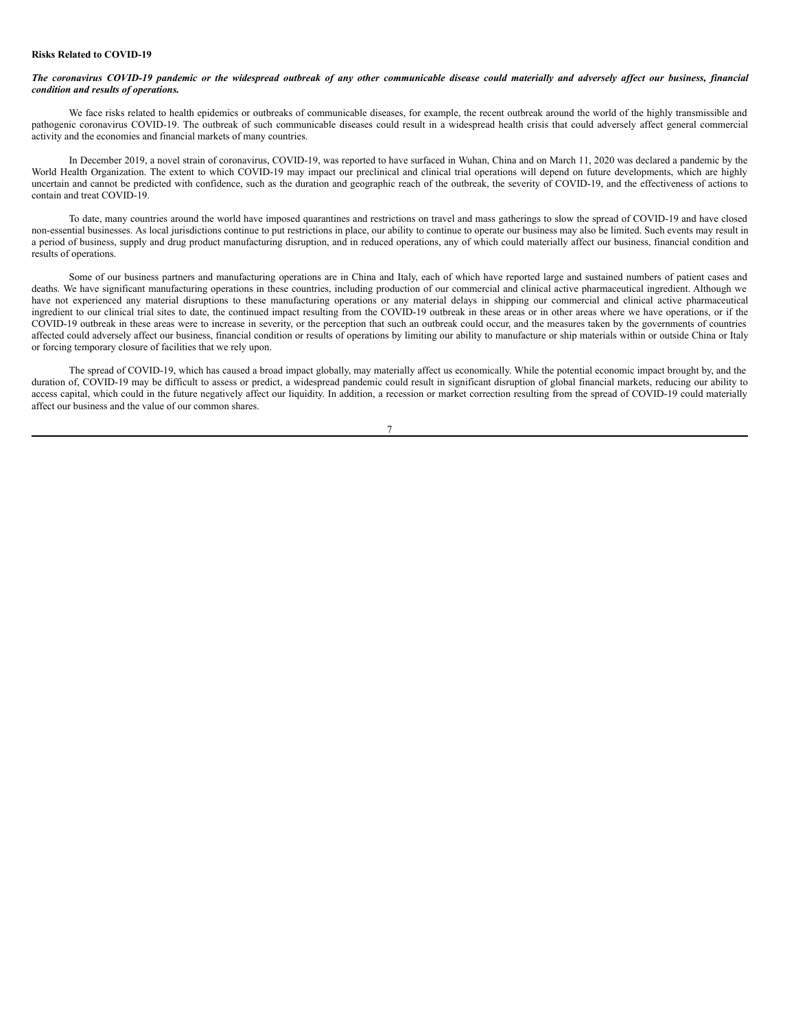#### **Risks Related to COVID-19**

## The coronavirus COVID-19 pandemic or the widespread outbreak of any other communicable disease could materially and adversely affect our business, financial *condition and results of operations.*

We face risks related to health epidemics or outbreaks of communicable diseases, for example, the recent outbreak around the world of the highly transmissible and pathogenic coronavirus COVID-19. The outbreak of such communicable diseases could result in a widespread health crisis that could adversely affect general commercial activity and the economies and financial markets of many countries.

In December 2019, a novel strain of coronavirus, COVID-19, was reported to have surfaced in Wuhan, China and on March 11, 2020 was declared a pandemic by the World Health Organization. The extent to which COVID-19 may impact our preclinical and clinical trial operations will depend on future developments, which are highly uncertain and cannot be predicted with confidence, such as the duration and geographic reach of the outbreak, the severity of COVID-19, and the effectiveness of actions to contain and treat COVID-19.

To date, many countries around the world have imposed quarantines and restrictions on travel and mass gatherings to slow the spread of COVID-19 and have closed non-essential businesses. As local jurisdictions continue to put restrictions in place, our ability to continue to operate our business may also be limited. Such events may result in a period of business, supply and drug product manufacturing disruption, and in reduced operations, any of which could materially affect our business, financial condition and results of operations.

Some of our business partners and manufacturing operations are in China and Italy, each of which have reported large and sustained numbers of patient cases and deaths. We have significant manufacturing operations in these countries, including production of our commercial and clinical active pharmaceutical ingredient. Although we have not experienced any material disruptions to these manufacturing operations or any material delays in shipping our commercial and clinical active pharmaceutical ingredient to our clinical trial sites to date, the continued impact resulting from the COVID-19 outbreak in these areas or in other areas where we have operations, or if the COVID-19 outbreak in these areas were to increase in severity, or the perception that such an outbreak could occur, and the measures taken by the governments of countries affected could adversely affect our business, financial condition or results of operations by limiting our ability to manufacture or ship materials within or outside China or Italy or forcing temporary closure of facilities that we rely upon.

The spread of COVID-19, which has caused a broad impact globally, may materially affect us economically. While the potential economic impact brought by, and the duration of, COVID-19 may be difficult to assess or predict, a widespread pandemic could result in significant disruption of global financial markets, reducing our ability to access capital, which could in the future negatively affect our liquidity. In addition, a recession or market correction resulting from the spread of COVID-19 could materially affect our business and the value of our common shares.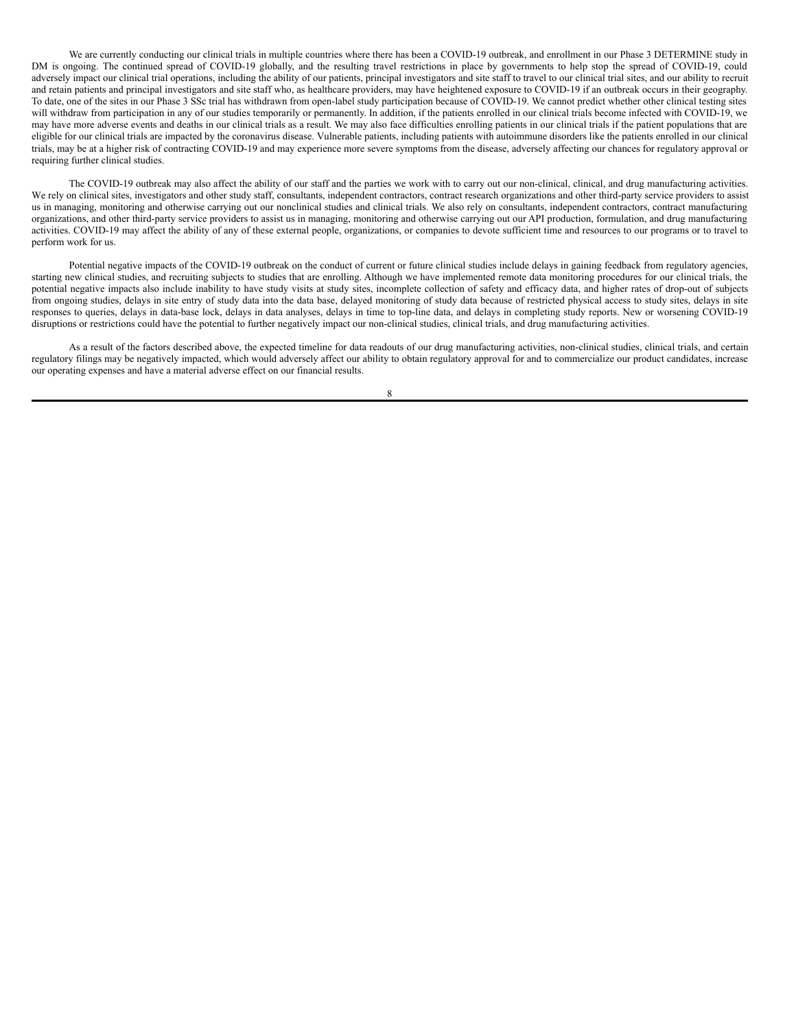We are currently conducting our clinical trials in multiple countries where there has been a COVID-19 outbreak, and enrollment in our Phase 3 DETERMINE study in DM is ongoing. The continued spread of COVID-19 globally, and the resulting travel restrictions in place by governments to help stop the spread of COVID-19, could adversely impact our clinical trial operations, including the ability of our patients, principal investigators and site staff to travel to our clinical trial sites, and our ability to recruit and retain patients and principal investigators and site staff who, as healthcare providers, may have heightened exposure to COVID-19 if an outbreak occurs in their geography. To date, one of the sites in our Phase 3 SSc trial has withdrawn from open-label study participation because of COVID-19. We cannot predict whether other clinical testing sites will withdraw from participation in any of our studies temporarily or permanently. In addition, if the patients enrolled in our clinical trials become infected with COVID-19, we may have more adverse events and deaths in our clinical trials as a result. We may also face difficulties enrolling patients in our clinical trials if the patient populations that are eligible for our clinical trials are impacted by the coronavirus disease. Vulnerable patients, including patients with autoimmune disorders like the patients enrolled in our clinical trials, may be at a higher risk of contracting COVID-19 and may experience more severe symptoms from the disease, adversely affecting our chances for regulatory approval or requiring further clinical studies.

The COVID-19 outbreak may also affect the ability of our staff and the parties we work with to carry out our non-clinical, clinical, and drug manufacturing activities. We rely on clinical sites, investigators and other study staff, consultants, independent contractors, contract research organizations and other third-party service providers to assist us in managing, monitoring and otherwise carrying out our nonclinical studies and clinical trials. We also rely on consultants, independent contractors, contract manufacturing organizations, and other third-party service providers to assist us in managing, monitoring and otherwise carrying out our API production, formulation, and drug manufacturing activities. COVID-19 may affect the ability of any of these external people, organizations, or companies to devote sufficient time and resources to our programs or to travel to perform work for us.

Potential negative impacts of the COVID-19 outbreak on the conduct of current or future clinical studies include delays in gaining feedback from regulatory agencies, starting new clinical studies, and recruiting subjects to studies that are enrolling. Although we have implemented remote data monitoring procedures for our clinical trials, the potential negative impacts also include inability to have study visits at study sites, incomplete collection of safety and efficacy data, and higher rates of drop-out of subjects from ongoing studies, delays in site entry of study data into the data base, delayed monitoring of study data because of restricted physical access to study sites, delays in site responses to queries, delays in data-base lock, delays in data analyses, delays in time to top-line data, and delays in completing study reports. New or worsening COVID-19 disruptions or restrictions could have the potential to further negatively impact our non-clinical studies, clinical trials, and drug manufacturing activities.

As a result of the factors described above, the expected timeline for data readouts of our drug manufacturing activities, non-clinical studies, clinical trials, and certain regulatory filings may be negatively impacted, which would adversely affect our ability to obtain regulatory approval for and to commercialize our product candidates, increase our operating expenses and have a material adverse effect on our financial results.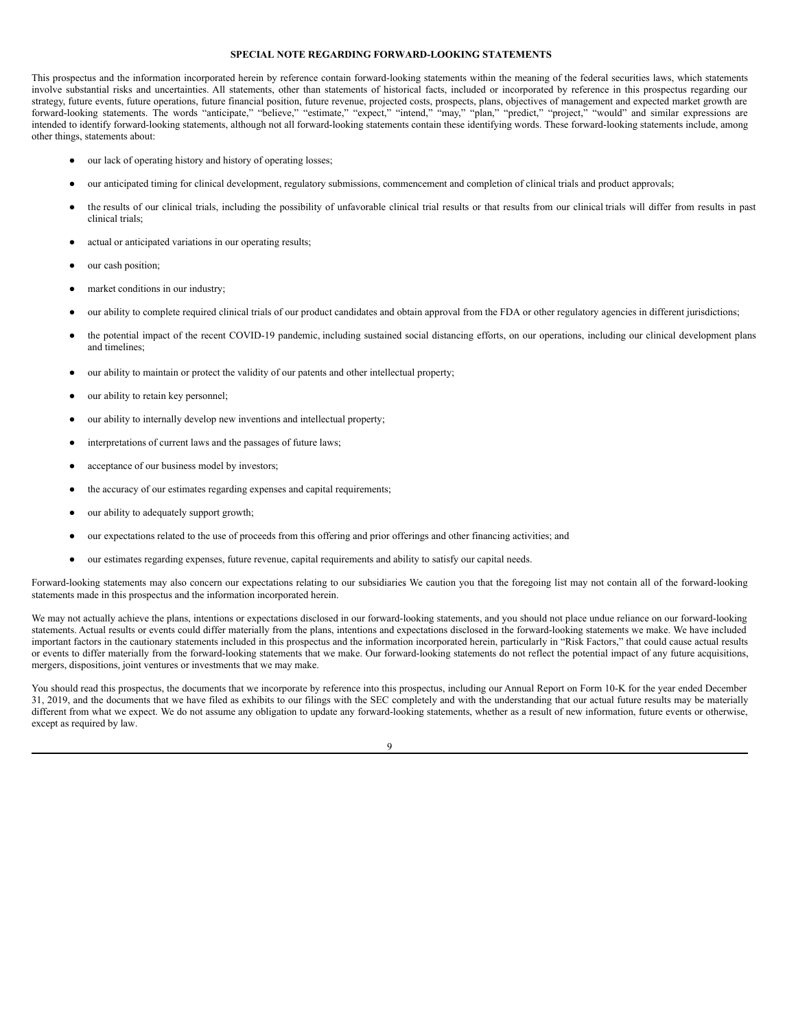#### <span id="page-10-0"></span>**SPECIAL NOTE REGARDING FORWARD-LOOKING STATEMENTS**

This prospectus and the information incorporated herein by reference contain forward-looking statements within the meaning of the federal securities laws, which statements involve substantial risks and uncertainties. All statements, other than statements of historical facts, included or incorporated by reference in this prospectus regarding our strategy, future events, future operations, future financial position, future revenue, projected costs, prospects, plans, objectives of management and expected market growth are forward-looking statements. The words "anticipate," "believe," "estimate," "expect," "intend," "may," "plan," "predict," "project," "would" and similar expressions are intended to identify forward-looking statements, although not all forward-looking statements contain these identifying words. These forward-looking statements include, among other things, statements about:

- our lack of operating history and history of operating losses;
- our anticipated timing for clinical development, regulatory submissions, commencement and completion of clinical trials and product approvals;
- the results of our clinical trials, including the possibility of unfavorable clinical trial results or that results from our clinical trials will differ from results in past clinical trials;
- actual or anticipated variations in our operating results;
- our cash position;
- market conditions in our industry;
- our ability to complete required clinical trials of our product candidates and obtain approval from the FDA or other regulatory agencies in different jurisdictions;
- the potential impact of the recent COVID-19 pandemic, including sustained social distancing efforts, on our operations, including our clinical development plans and timelines;
- our ability to maintain or protect the validity of our patents and other intellectual property;
- our ability to retain key personnel;
- our ability to internally develop new inventions and intellectual property;
- interpretations of current laws and the passages of future laws;
- acceptance of our business model by investors;
- the accuracy of our estimates regarding expenses and capital requirements;
- our ability to adequately support growth;
- our expectations related to the use of proceeds from this offering and prior offerings and other financing activities; and
- our estimates regarding expenses, future revenue, capital requirements and ability to satisfy our capital needs.

Forward-looking statements may also concern our expectations relating to our subsidiaries. We caution you that the foregoing list may not contain all of the forward-looking statements made in this prospectus and the information incorporated herein.

We may not actually achieve the plans, intentions or expectations disclosed in our forward-looking statements, and you should not place undue reliance on our forward-looking statements. Actual results or events could differ materially from the plans, intentions and expectations disclosed in the forward-looking statements we make. We have included important factors in the cautionary statements included in this prospectus and the information incorporated herein, particularly in "Risk Factors," that could cause actual results or events to differ materially from the forward-looking statements that we make. Our forward-looking statements do not reflect the potential impact of any future acquisitions, mergers, dispositions, joint ventures or investments that we may make.

You should read this prospectus, the documents that we incorporate by reference into this prospectus, including our Annual Report on Form 10-K for the year ended December 31, 2019, and the documents that we have filed as exhibits to our filings with the SEC completely and with the understanding that our actual future results may be materially different from what we expect. We do not assume any obligation to update any forward-looking statements, whether as a result of new information, future events or otherwise, except as required by law.

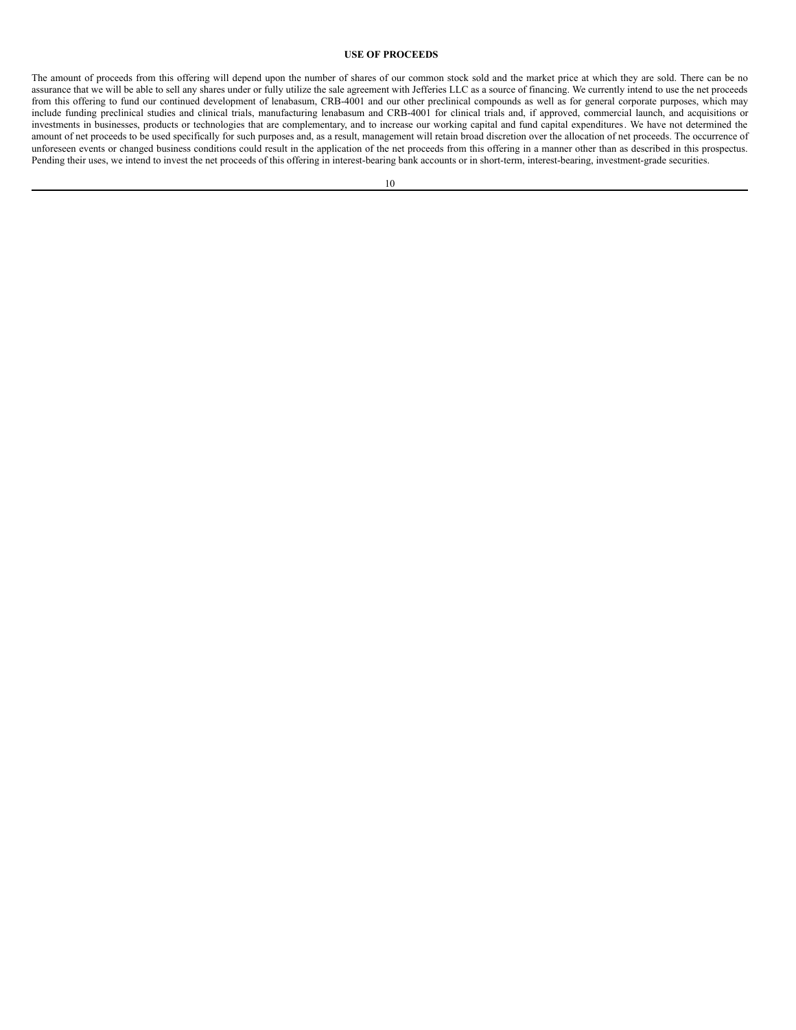## <span id="page-11-0"></span>**USE OF PROCEEDS**

The amount of proceeds from this offering will depend upon the number of shares of our common stock sold and the market price at which they are sold. There can be no assurance that we will be able to sell any shares under or fully utilize the sale agreement with Jefferies LLC as a source of financing. We currently intend to use the net proceeds from this offering to fund our continued development of lenabasum, CRB-4001 and our other preclinical compounds as well as for general corporate purposes, which may include funding preclinical studies and clinical trials, manufacturing lenabasum and CRB-4001 for clinical trials and, if approved, commercial launch, and acquisitions or investments in businesses, products or technologies that are complementary, and to increase our working capital and fund capital expenditures. We have not determined the amount of net proceeds to be used specifically for such purposes and, as a result, management will retain broad discretion over the allocation of net proceeds. The occurrence of unforeseen events or changed business conditions could result in the application of the net proceeds from this offering in a manner other than as described in this prospectus. Pending their uses, we intend to invest the net proceeds of this offering in interest-bearing bank accounts or in short-term, interest-bearing, investment-grade securities.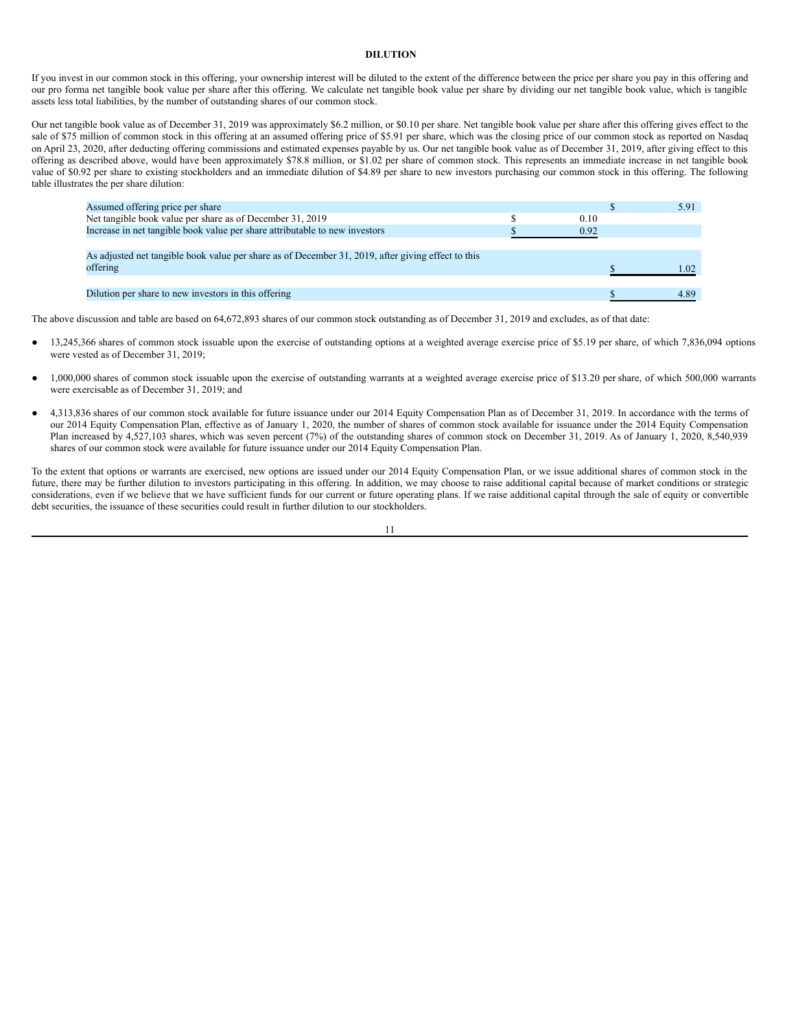## <span id="page-12-0"></span>**DILUTION**

If you invest in our common stock in this offering, your ownership interest will be diluted to the extent of the difference between the price per share you pay in this offering and our pro forma net tangible book value per share after this offering. We calculate net tangible book value per share by dividing our net tangible book value, which is tangible assets less total liabilities, by the number of outstanding shares of our common stock.

Our net tangible book value as of December 31, 2019 was approximately \$6.2 million, or \$0.10 per share. Net tangible book value per share after this offering gives effect to the sale of \$75 million of common stock in this offering at an assumed offering price of \$5.91 per share, which was the closing price of our common stock as reported on Nasdaq on April 23, 2020, after deducting offering commissions and estimated expenses payable by us. Our net tangible book value as of December 31, 2019, after giving effect to this offering as described above, would have been approximately \$78.8 million, or \$1.02 per share of common stock. This represents an immediate increase in net tangible book value of \$0.92 per share to existing stockholders and an immediate dilution of \$4.89 per share to new investors purchasing our common stock in this offering. The following table illustrates the per share dilution:

| Assumed offering price per share                                                                   |      | 5.91 |
|----------------------------------------------------------------------------------------------------|------|------|
| Net tangible book value per share as of December 31, 2019                                          | 0.10 |      |
| Increase in net tangible book value per share attributable to new investors                        | 0.92 |      |
|                                                                                                    |      |      |
| As adjusted net tangible book value per share as of December 31, 2019, after giving effect to this |      |      |
| offering                                                                                           |      | 1.02 |
|                                                                                                    |      |      |
| Dilution per share to new investors in this offering                                               |      | 4.89 |

The above discussion and table are based on 64,672,893 shares of our common stock outstanding as of December 31, 2019 and excludes, as of that date:

- 13,245,366 shares of common stock issuable upon the exercise of outstanding options at a weighted average exercise price of \$5.19 per share, of which 7,836,094 options were vested as of December 31, 2019;
- 1,000,000 shares of common stock issuable upon the exercise of outstanding warrants at a weighted average exercise price of \$13.20 per share, of which 500,000 warrants were exercisable as of December 31, 2019; and
- 4,313,836 shares of our common stock available for future issuance under our 2014 Equity Compensation Plan as of December 31, 2019. In accordance with the terms of our 2014 Equity Compensation Plan, effective as of January 1, 2020, the number of shares of common stock available for issuance under the 2014 Equity Compensation Plan increased by 4,527,103 shares, which was seven percent (7%) of the outstanding shares of common stock on December 31, 2019. As of January 1, 2020, 8,540,939 shares of our common stock were available for future issuance under our 2014 Equity Compensation Plan.

To the extent that options or warrants are exercised, new options are issued under our 2014 Equity Compensation Plan, or we issue additional shares of common stock in the future, there may be further dilution to investors participating in this offering. In addition, we may choose to raise additional capital because of market conditions or strategic considerations, even if we believe that we have sufficient funds for our current or future operating plans. If we raise additional capital through the sale of equity or convertible debt securities, the issuance of these securities could result in further dilution to our stockholders.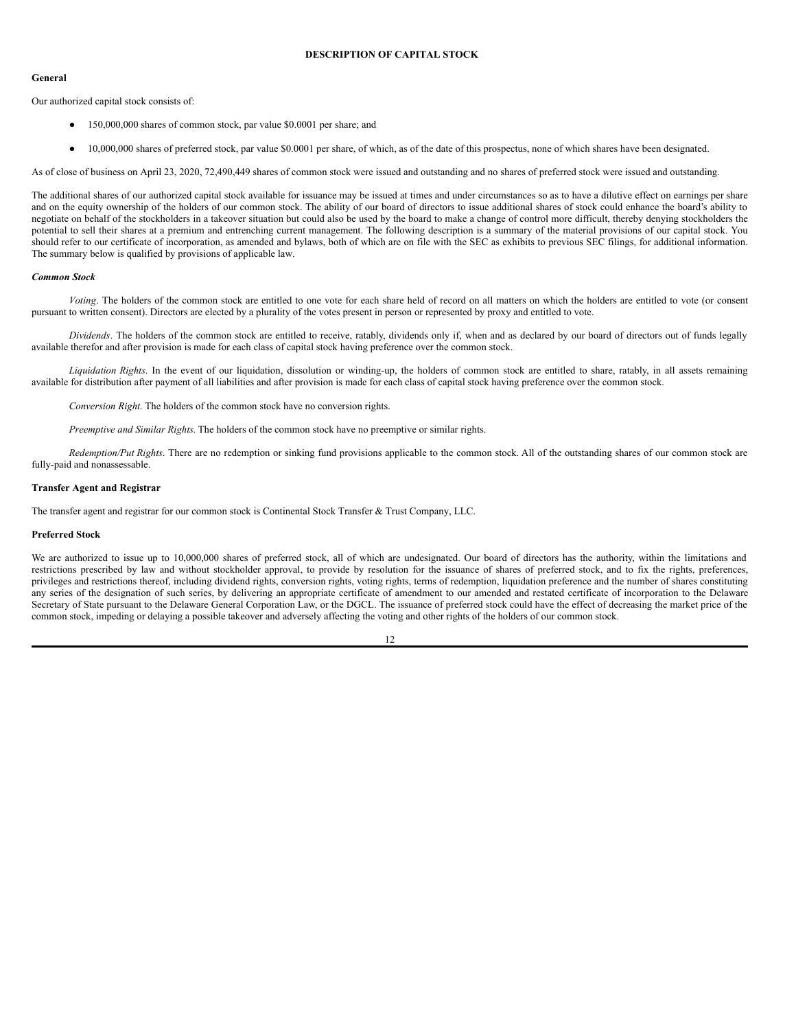#### **General**

Our authorized capital stock consists of:

- <span id="page-13-0"></span>● 150,000,000 shares of common stock, par value \$0.0001 per share; and
- 10,000,000 shares of preferred stock, par value \$0.0001 per share, of which, as of the date of this prospectus, none of which shares have been designated.

As of close of business on April 23, 2020, 72,490,449 shares of common stock were issued and outstanding and no shares of preferred stock were issued and outstanding.

The additional shares of our authorized capital stock available for issuance may be issued at times and under circumstances so as to have a dilutive effect on earnings per share and on the equity ownership of the holders of our common stock. The ability of our board of directors to issue additional shares of stock could enhance the board's ability to negotiate on behalf of the stockholders in a takeover situation but could also be used by the board to make a change of control more difficult, thereby denying stockholders the potential to sell their shares at a premium and entrenching current management. The following description is a summary of the material provisions of our capital stock. You should refer to our certificate of incorporation, as amended and bylaws, both of which are on file with the SEC as exhibits to previous SEC filings, for additional information. The summary below is qualified by provisions of applicable law.

## *Common Stock*

*Voting*. The holders of the common stock are entitled to one vote for each share held of record on all matters on which the holders are entitled to vote (or consent pursuant to written consent). Directors are elected by a plurality of the votes present in person or represented by proxy and entitled to vote.

*Dividends*. The holders of the common stock are entitled to receive, ratably, dividends only if, when and as declared by our board of directors out of funds legally available therefor and after provision is made for each class of capital stock having preference over the common stock.

*Liquidation Rights*. In the event of our liquidation, dissolution or winding-up, the holders of common stock are entitled to share, ratably, in all assets remaining available for distribution after payment of all liabilities and after provision is made for each class of capital stock having preference over the common stock.

*Conversion Right*. The holders of the common stock have no conversion rights.

*Preemptive and Similar Rights*. The holders of the common stock have no preemptive or similar rights.

*Redemption/Put Rights*. There are no redemption or sinking fund provisions applicable to the common stock. All of the outstanding shares of our common stock are fully-paid and nonassessable.

## **Transfer Agent and Registrar**

The transfer agent and registrar for our common stock is Continental Stock Transfer & Trust Company, LLC.

## **Preferred Stock**

We are authorized to issue up to 10,000,000 shares of preferred stock, all of which are undesignated. Our board of directors has the authority, within the limitations and restrictions prescribed by law and without stockholder approval, to provide by resolution for the issuance of shares of preferred stock, and to fix the rights, preferences, privileges and restrictions thereof, including dividend rights, conversion rights, voting rights, terms of redemption, liquidation preference and the number of shares constituting any series of the designation of such series, by delivering an appropriate certificate of amendment to our amended and restated certificate of incorporation to the Delaware Secretary of State pursuant to the Delaware General Corporation Law, or the DGCL. The issuance of preferred stock could have the effect of decreasing the market price of the common stock, impeding or delaying a possible takeover and adversely affecting the voting and other rights of the holders of our common stock.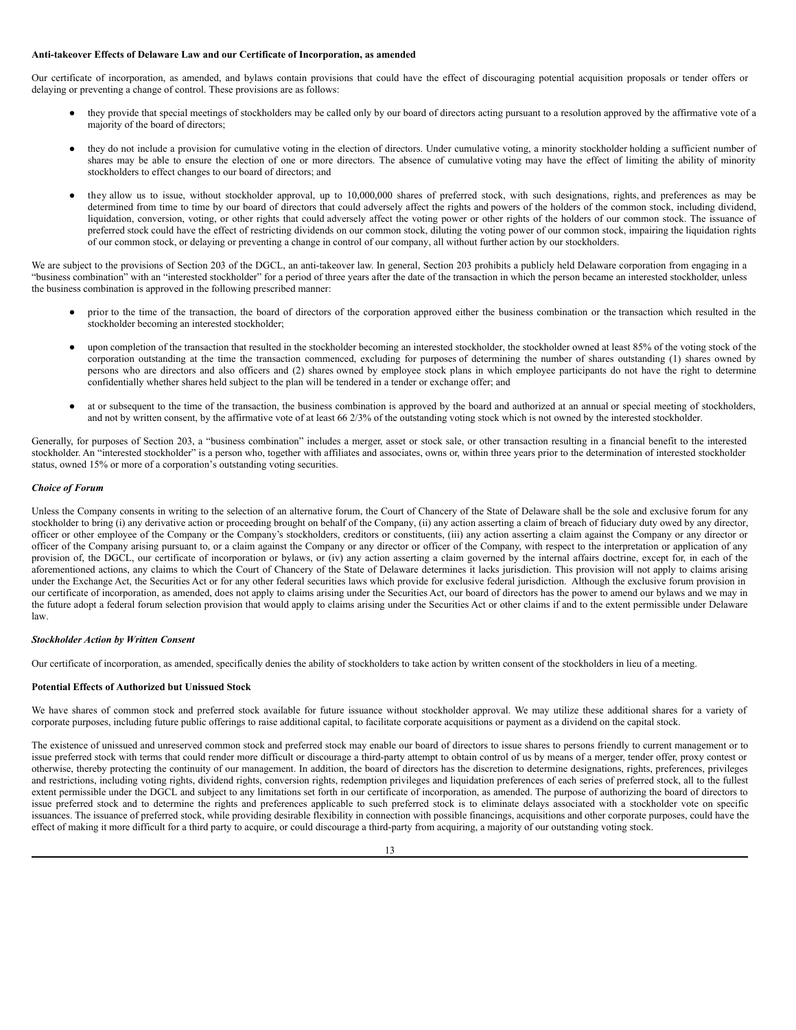## **Anti-takeover Effects of Delaware Law and our Certificate of Incorporation, as amended**

Our certificate of incorporation, as amended, and bylaws contain provisions that could have the effect of discouraging potential acquisition proposals or tender offers or delaying or preventing a change of control. These provisions are as follows:

- they provide that special meetings of stockholders may be called only by our board of directors acting pursuant to a resolution approved by the affirmative vote of a majority of the board of directors;
- they do not include a provision for cumulative voting in the election of directors. Under cumulative voting, a minority stockholder holding a sufficient number of shares may be able to ensure the election of one or more directors. The absence of cumulative voting may have the effect of limiting the ability of minority stockholders to effect changes to our board of directors; and
- they allow us to issue, without stockholder approval, up to 10,000,000 shares of preferred stock, with such designations, rights, and preferences as may be determined from time to time by our board of directors that could adversely affect the rights and powers of the holders of the common stock, including dividend, liquidation, conversion, voting, or other rights that could adversely affect the voting power or other rights of the holders of our common stock. The issuance of preferred stock could have the effect of restricting dividends on our common stock, diluting the voting power of our common stock, impairing the liquidation rights of our common stock, or delaying or preventing a change in control of our company, all without further action by our stockholders.

We are subject to the provisions of Section 203 of the DGCL, an anti-takeover law. In general, Section 203 prohibits a publicly held Delaware corporation from engaging in a "business combination" with an "interested stockholder" for a period of three years after the date of the transaction in which the person became an interested stockholder, unless the business combination is approved in the following prescribed manner:

- prior to the time of the transaction, the board of directors of the corporation approved either the business combination or the transaction which resulted in the stockholder becoming an interested stockholder;
- upon completion of the transaction that resulted in the stockholder becoming an interested stockholder, the stockholder owned at least 85% of the voting stock of the corporation outstanding at the time the transaction commenced, excluding for purposes of determining the number of shares outstanding (1) shares owned by persons who are directors and also officers and (2) shares owned by employee stock plans in which employee participants do not have the right to determine confidentially whether shares held subject to the plan will be tendered in a tender or exchange offer; and
- at or subsequent to the time of the transaction, the business combination is approved by the board and authorized at an annual or special meeting of stockholders, and not by written consent, by the affirmative vote of at least 66 2/3% of the outstanding voting stock which is not owned by the interested stockholder.

Generally, for purposes of Section 203, a "business combination" includes a merger, asset or stock sale, or other transaction resulting in a financial benefit to the interested stockholder. An "interested stockholder" is a person who, together with affiliates and associates, owns or, within three years prior to the determination of interested stockholder status, owned 15% or more of a corporation's outstanding voting securities.

# *Choice of Forum*

Unless the Company consents in writing to the selection of an alternative forum, the Court of Chancery of the State of Delaware shall be the sole and exclusive forum for any stockholder to bring (i) any derivative action or proceeding brought on behalf of the Company, (ii) any action asserting a claim of breach of fiduciary duty owed by any director, officer or other employee of the Company or the Company's stockholders, creditors or constituents, (iii) any action asserting a claim against the Company or any director or officer of the Company arising pursuant to, or a claim against the Company or any director or officer of the Company, with respect to the interpretation or application of any provision of, the DGCL, our certificate of incorporation or bylaws, or (iv) any action asserting a claim governed by the internal affairs doctrine, except for, in each of the aforementioned actions, any claims to which the Court of Chancery of the State of Delaware determines it lacks jurisdiction. This provision will not apply to claims arising under the Exchange Act, the Securities Act or for any other federal securities laws which provide for exclusive federal jurisdiction. Although the exclusive forum provision in our certificate of incorporation, as amended, does not apply to claims arising under the Securities Act, our board of directors has the power to amend our bylaws and we may in the future adopt a federal forum selection provision that would apply to claims arising under the Securities Act or other claims if and to the extent permissible under Delaware law.

#### *Stockholder Action by Written Consent*

Our certificate of incorporation, as amended, specifically denies the ability of stockholders to take action by written consent of the stockholders in lieu of a meeting.

## **Potential Effects of Authorized but Unissued Stock**

We have shares of common stock and preferred stock available for future issuance without stockholder approval. We may utilize these additional shares for a variety of corporate purposes, including future public offerings to raise additional capital, to facilitate corporate acquisitions or payment as a dividend on the capital stock.

The existence of unissued and unreserved common stock and preferred stock may enable our board of directors to issue shares to persons friendly to current management or to issue preferred stock with terms that could render more difficult or discourage a third-party attempt to obtain control of us by means of a merger, tender offer, proxy contest or otherwise, thereby protecting the continuity of our management. In addition, the board of directors has the discretion to determine designations, rights, preferences, privileges and restrictions, including voting rights, dividend rights, conversion rights, redemption privileges and liquidation preferences of each series of preferred stock, all to the fullest extent permissible under the DGCL and subject to any limitations set forth in our certificate of incorporation, as amended. The purpose of authorizing the board of directors to issue preferred stock and to determine the rights and preferences applicable to such preferred stock is to eliminate delays associated with a stockholder vote on specific issuances. The issuance of preferred stock, while providing desirable flexibility in connection with possible financings, acquisitions and other corporate purposes, could have the effect of making it more difficult for a third party to acquire, or could discourage a third-party from acquiring, a majority of our outstanding voting stock.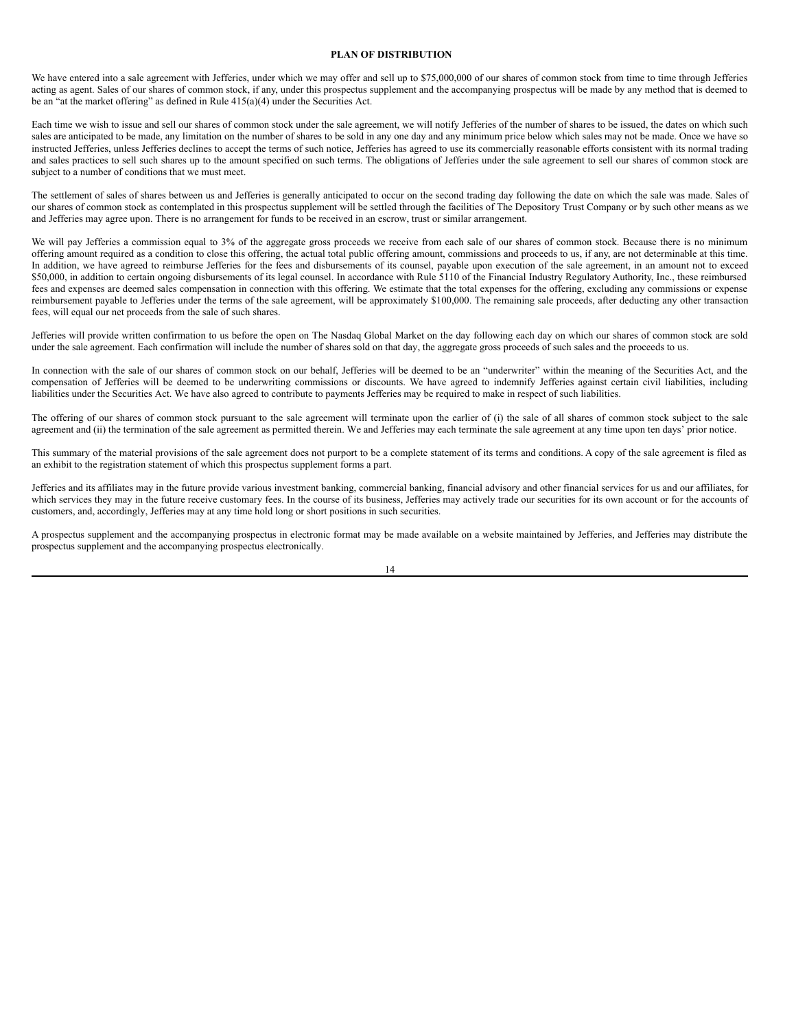#### <span id="page-15-0"></span>**PLAN OF DISTRIBUTION**

We have entered into a sale agreement with Jefferies, under which we may offer and sell up to \$75,000,000 of our shares of common stock from time to time through Jefferies acting as agent. Sales of our shares of common stock, if any, under this prospectus supplement and the accompanying prospectus will be made by any method that is deemed to be an "at the market offering" as defined in Rule 415(a)(4) under the Securities Act.

Each time we wish to issue and sell our shares of common stock under the sale agreement, we will notify Jefferies of the number of shares to be issued, the dates on which such sales are anticipated to be made, any limitation on the number of shares to be sold in any one day and any minimum price below which sales may not be made. Once we have so instructed Jefferies, unless Jefferies declines to accept the terms of such notice, Jefferies has agreed to use its commercially reasonable efforts consistent with its normal trading and sales practices to sell such shares up to the amount specified on such terms. The obligations of Jefferies under the sale agreement to sell our shares of common stock are subject to a number of conditions that we must meet.

The settlement of sales of shares between us and Jefferies is generally anticipated to occur on the second trading day following the date on which the sale was made. Sales of our shares of common stock as contemplated in this prospectus supplement will be settled through the facilities of The Depository Trust Company or by such other means as we and Jefferies may agree upon. There is no arrangement for funds to be received in an escrow, trust or similar arrangement.

We will pay Jefferies a commission equal to 3% of the aggregate gross proceeds we receive from each sale of our shares of common stock. Because there is no minimum offering amount required as a condition to close this offering, the actual total public offering amount, commissions and proceeds to us, if any, are not determinable at this time. In addition, we have agreed to reimburse Jefferies for the fees and disbursements of its counsel, payable upon execution of the sale agreement, in an amount not to exceed \$50,000, in addition to certain ongoing disbursements of its legal counsel. In accordance with Rule 5110 of the Financial Industry Regulatory Authority, Inc., these reimbursed fees and expenses are deemed sales compensation in connection with this offering. We estimate that the total expenses for the offering, excluding any commissions or expense reimbursement payable to Jefferies under the terms of the sale agreement, will be approximately \$100,000. The remaining sale proceeds, after deducting any other transaction fees, will equal our net proceeds from the sale of such shares.

Jefferies will provide written confirmation to us before the open on The Nasdaq Global Market on the day following each day on which our shares of common stock are sold under the sale agreement. Each confirmation will include the number of shares sold on that day, the aggregate gross proceeds of such sales and the proceeds to us.

In connection with the sale of our shares of common stock on our behalf, Jefferies will be deemed to be an "underwriter" within the meaning of the Securities Act, and the compensation of Jefferies will be deemed to be underwriting commissions or discounts. We have agreed to indemnify Jefferies against certain civil liabilities, including liabilities under the Securities Act. We have also agreed to contribute to payments Jefferies may be required to make in respect of such liabilities.

The offering of our shares of common stock pursuant to the sale agreement will terminate upon the earlier of (i) the sale of all shares of common stock subject to the sale agreement and (ii) the termination of the sale agreement as permitted therein. We and Jefferies may each terminate the sale agreement at any time upon ten days' prior notice.

This summary of the material provisions of the sale agreement does not purport to be a complete statement of its terms and conditions. A copy of the sale agreement is filed as an exhibit to the registration statement of which this prospectus supplement forms a part.

Jefferies and its affiliates may in the future provide various investment banking, commercial banking, financial advisory and other financial services for us and our affiliates, for which services they may in the future receive customary fees. In the course of its business, Jefferies may actively trade our securities for its own account or for the accounts of customers, and, accordingly, Jefferies may at any time hold long or short positions in such securities.

A prospectus supplement and the accompanying prospectus in electronic format may be made available on a website maintained by Jefferies, and Jefferies may distribute the prospectus supplement and the accompanying prospectus electronically.

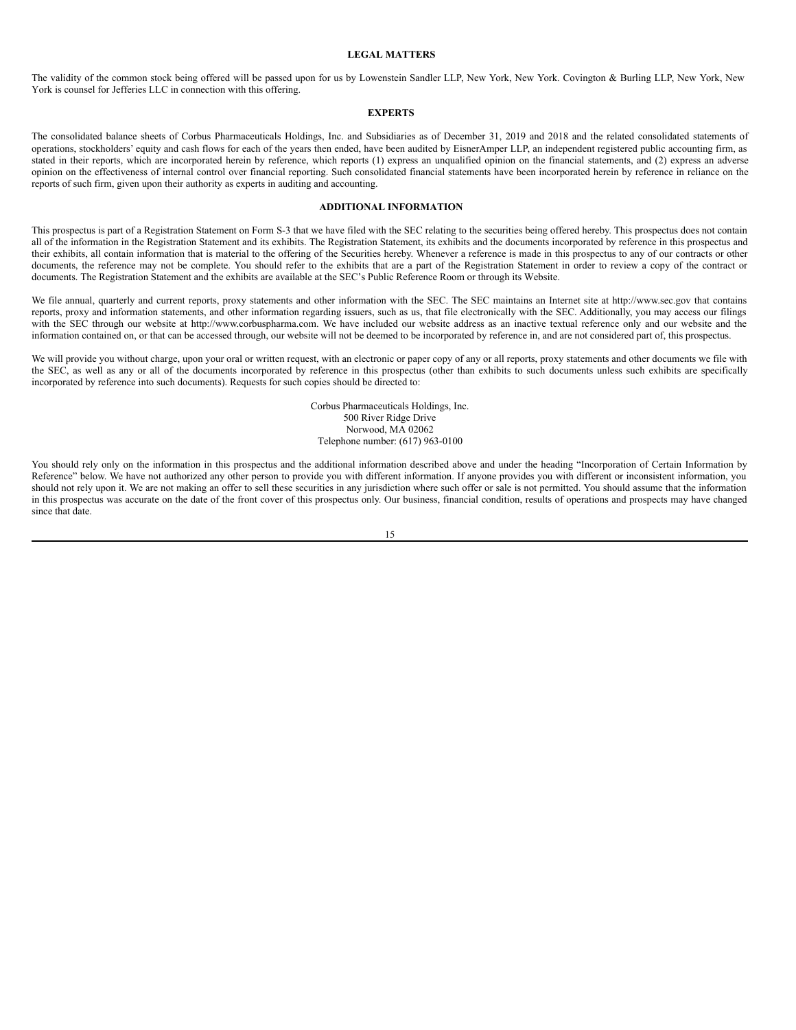#### <span id="page-16-0"></span>**LEGAL MATTERS**

The validity of the common stock being offered will be passed upon for us by Lowenstein Sandler LLP, New York, New York. Covington & Burling LLP, New York, New York is counsel for Jefferies LLC in connection with this offering.

## <span id="page-16-1"></span>**EXPERTS**

The consolidated balance sheets of Corbus Pharmaceuticals Holdings, Inc. and Subsidiaries as of December 31, 2019 and 2018 and the related consolidated statements of operations, stockholders' equity and cash flows for each of the years then ended, have been audited by EisnerAmper LLP, an independent registered public accounting firm, as stated in their reports, which are incorporated herein by reference, which reports (1) express an unqualified opinion on the financial statements, and (2) express an adverse opinion on the effectiveness of internal control over financial reporting. Such consolidated financial statements have been incorporated herein by reference in reliance on the reports of such firm, given upon their authority as experts in auditing and accounting.

# <span id="page-16-2"></span>**ADDITIONAL INFORMATION**

This prospectus is part of a Registration Statement on Form S-3 that we have filed with the SEC relating to the securities being offered hereby. This prospectus does not contain all of the information in the Registration Statement and its exhibits. The Registration Statement, its exhibits and the documents incorporated by reference in this prospectus and their exhibits, all contain information that is material to the offering of the Securities hereby. Whenever a reference is made in this prospectus to any of our contracts or other documents, the reference may not be complete. You should refer to the exhibits that are a part of the Registration Statement in order to review a copy of the contract or documents. The Registration Statement and the exhibits are available at the SEC's Public Reference Room or through its Website.

We file annual, quarterly and current reports, proxy statements and other information with the SEC. The SEC maintains an Internet site at http://www.sec.gov that contains reports, proxy and information statements, and other information regarding issuers, such as us, that file electronically with the SEC. Additionally, you may access our filings with the SEC through our website at http://www.corbuspharma.com. We have included our website address as an inactive textual reference only and our website and the information contained on, or that can be accessed through, our website will not be deemed to be incorporated by reference in, and are not considered part of, this prospectus.

We will provide you without charge, upon your oral or written request, with an electronic or paper copy of any or all reports, proxy statements and other documents we file with the SEC, as well as any or all of the documents incorporated by reference in this prospectus (other than exhibits to such documents unless such exhibits are specifically incorporated by reference into such documents). Requests for such copies should be directed to:

> Corbus Pharmaceuticals Holdings, Inc. 500 River Ridge Drive Norwood, MA 02062 Telephone number: (617) 963-0100

You should rely only on the information in this prospectus and the additional information described above and under the heading "Incorporation of Certain Information by Reference" below. We have not authorized any other person to provide you with different information. If anyone provides you with different or inconsistent information, you should not rely upon it. We are not making an offer to sell these securities in any jurisdiction where such offer or sale is not permitted. You should assume that the information in this prospectus was accurate on the date of the front cover of this prospectus only. Our business, financial condition, results of operations and prospects may have changed since that date.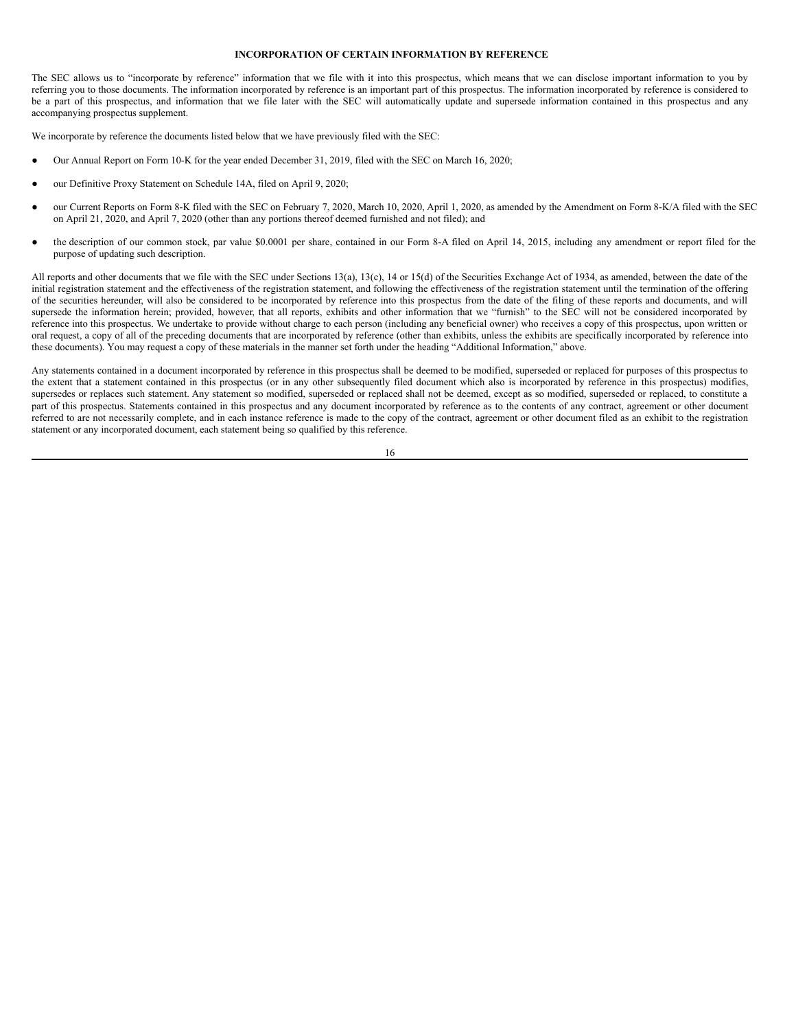#### <span id="page-17-0"></span>**INCORPORATION OF CERTAIN INFORMATION BY REFERENCE**

The SEC allows us to "incorporate by reference" information that we file with it into this prospectus, which means that we can disclose important information to you by referring you to those documents. The information incorporated by reference is an important part of this prospectus. The information incorporated by reference is considered to be a part of this prospectus, and information that we file later with the SEC will automatically update and supersede information contained in this prospectus and any accompanying prospectus supplement.

We incorporate by reference the documents listed below that we have previously filed with the SEC:

- Our Annual Report on Form 10-K for the year ended December 31, 2019, filed with the SEC on March 16, 2020;
- our Definitive Proxy Statement on Schedule 14A, filed on April 9, 2020;
- our Current Reports on Form 8-K filed with the SEC on February 7, 2020, March 10, 2020, April 1, 2020, as amended by the Amendment on Form 8-K/A filed with the SEC on April 21, 2020, and April 7, 2020 (other than any portions thereof deemed furnished and not filed); and
- the description of our common stock, par value \$0.0001 per share, contained in our Form 8-A filed on April 14, 2015, including any amendment or report filed for the purpose of updating such description.

All reports and other documents that we file with the SEC under Sections 13(a), 13(c), 14 or 15(d) of the Securities Exchange Act of 1934, as amended, between the date of the initial registration statement and the effectiveness of the registration statement, and following the effectiveness of the registration statement until the termination of the offering of the securities hereunder, will also be considered to be incorporated by reference into this prospectus from the date of the filing of these reports and documents, and will supersede the information herein; provided, however, that all reports, exhibits and other information that we "furnish" to the SEC will not be considered incorporated by reference into this prospectus. We undertake to provide without charge to each person (including any beneficial owner) who receives a copy of this prospectus, upon written or oral request, a copy of all of the preceding documents that are incorporated by reference (other than exhibits, unless the exhibits are specifically incorporated by reference into these documents). You may request a copy of these materials in the manner set forth under the heading "Additional Information," above.

Any statements contained in a document incorporated by reference in this prospectus shall be deemed to be modified, superseded or replaced for purposes of this prospectus to the extent that a statement contained in this prospectus (or in any other subsequently filed document which also is incorporated by reference in this prospectus) modifies, supersedes or replaces such statement. Any statement so modified, superseded or replaced shall not be deemed, except as so modified, superseded or replaced, to constitute a part of this prospectus. Statements contained in this prospectus and any document incorporated by reference as to the contents of any contract, agreement or other document referred to are not necessarily complete, and in each instance reference is made to the copy of the contract, agreement or other document filed as an exhibit to the registration statement or any incorporated document, each statement being so qualified by this reference.